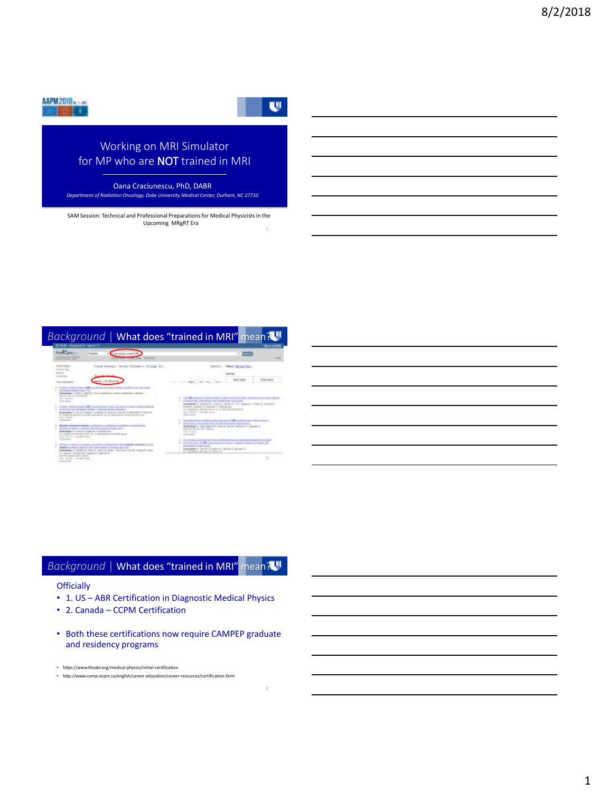

U.

# Working on MRI Simulator for MP who are NOT trained in MRI

Oana Craciunescu, PhD, DABR *Department of Radiation Oncology, Duke University Medical Center, Durham, NC 27710*

1 SAM Session: Technical and Professional Preparations for Medical Physicists in the Upcoming MRgRT Era

#### *Background* | What does "trained in MRI" mean?



### **Background | What does "trained in MRI"** mean?

#### **Officially**

- 1. US ABR Certification in Diagnostic Medical Physics
- 2. Canada CCPM Certification
- Both these certifications now require CAMPEP graduate and residency programs

- https://www.theabr.org/medical-physics/initial-certification
- http://www.comp-ocpm.ca/english/career-education/career-resources/certification.html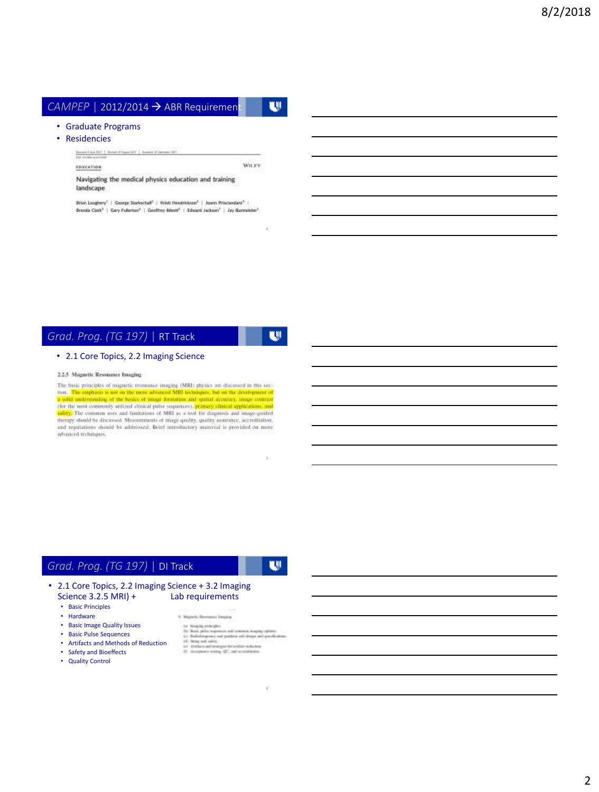# *CAMPEP* | 2012/2014 → ABR Requirement

#### • Graduate Programs

• Residencies

EDUCATION

WHEN

Navigating the medical physics education and training landscape

Erian Laughery<sup>1</sup> | George Starkschaf<sup>4</sup> | Wrist Hendrickson<sup>3</sup> | Joann Principedaes<sup>4</sup> |<br>Brunda Clotk<sup>3</sup> | Gary Fullerton<sup>9</sup> | Geoffrey Bibott<sup>2</sup> | Edward Jackson<sup>7</sup> | Jay Burmeister<sup>1</sup>

### *Grad. Prog. (TG 197)* | RT Track

w

4

w

#### • 2.1 Core Topics, 2.2 Imaging Science

2.2.5 Magnetic Resonance bauging

The basic principles of migneric resonance imaging (MRI) physics are discussed in this sec-Final and the contrast to the main and the main and the second that the main and the contrast in the main and the main and the main and the contrast in the main and the contrast of the contrast of the contrast of the contr advanced techniques.

### *Grad. Prog. (TG 197)* | DI Track

6

5

#### • 2.1 Core Topics, 2.2 Imaging Science + 3.2 Imaging Science  $3.2.5$  MRI) +

- Basic Principles
- Hardware
- Basic Image Quality Issues
- Basic Pulse Sequences
- Artifacts and Methods of Reduction
- Safety and Bioeffects
- Quality Control

4. Nepark Brompac Insuire

- to linearly principle.<br>  $\alpha d$  common length of the pairs parameter<br>  $\alpha d$  common length of the pairs and device and device<br>  $\alpha$  is the basis and the common contribution of the common states<br>  $\alpha$
- 
- 
-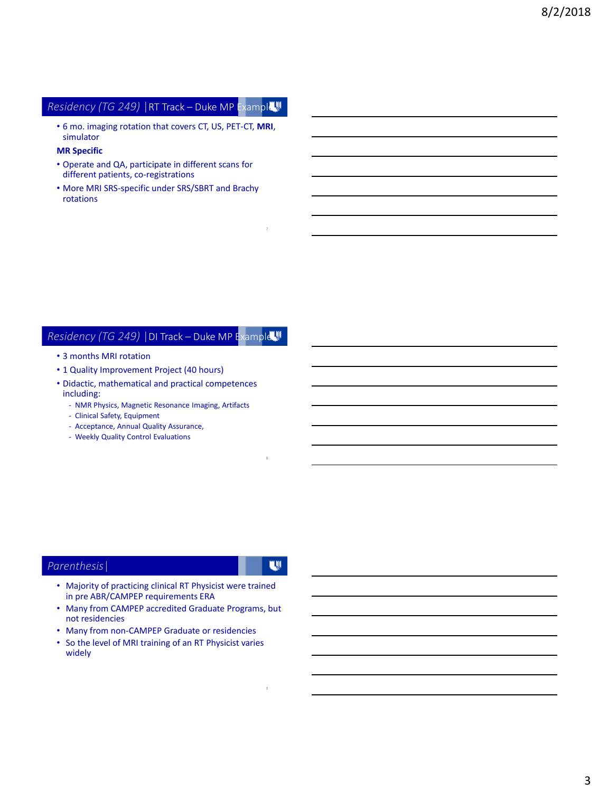# *Residency (TG 249)* |RT Track – Duke MP Example

• 6 mo. imaging rotation that covers CT, US, PET-CT, **MRI**, simulator

#### **MR Specific**

- Operate and QA, participate in different scans for different patients, co-registrations
- More MRI SRS-specific under SRS/SBRT and Brachy rotations

#### *Residency (TG 249)* |DI Track – Duke MP Example

- 3 months MRI rotation
- 1 Quality Improvement Project (40 hours)
- Didactic, mathematical and practical competences including:
	- NMR Physics, Magnetic Resonance Imaging, Artifacts
	- Clinical Safety, Equipment
	- Acceptance, Annual Quality Assurance,
	- Weekly Quality Control Evaluations

#### *Parenthesis*|

W.

9

8

- Majority of practicing clinical RT Physicist were trained in pre ABR/CAMPEP requirements ERA
- Many from CAMPEP accredited Graduate Programs, but not residencies
- Many from non-CAMPEP Graduate or residencies
- So the level of MRI training of an RT Physicist varies widely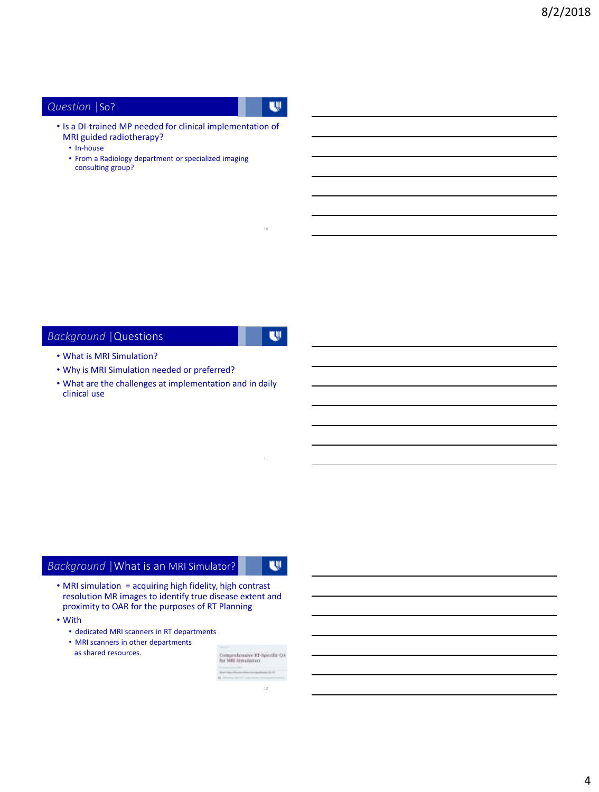## *Question* |So?

U.

• Is a DI-trained MP needed for clinical implementation of MRI guided radiotherapy?

- In-house
- From a Radiology department or specialized imaging consulting group?

# *Background* |Questions

W.

10

#### • What is MRI Simulation?

- Why is MRI Simulation needed or preferred?
- What are the challenges at implementation and in daily clinical use

# *Background* |What is an MRI Simulator?

W.

- MRI simulation = acquiring high fidelity, high contrast resolution MR images to identify true disease extent and proximity to OAR for the purposes of RT Planning
- With
	- dedicated MRI scanners in RT departments
	- MRI scanners in other departments as shared resources.

| Comprehensive XT-Specific QA<br>For MRC Simulation |  |
|----------------------------------------------------|--|
|                                                    |  |
|                                                    |  |
|                                                    |  |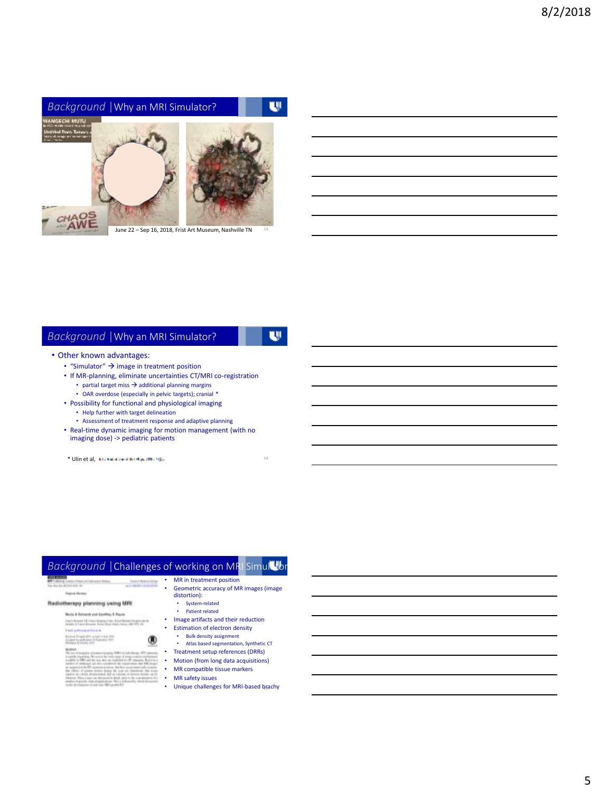

June 22 – Sep 16, 2018, Frist Art Museum, Nashville TN

### *Background* |Why an MRI Simulator?

# w

14

#### • Other known advantages:

- "Simulator"  $\rightarrow$  image in treatment position
- If MR-planning, eliminate uncertainties CT/MRI co-registration
	- partial target miss  $\rightarrow$  additional planning margins
	- OAR overdose (especially in pelvic targets); cranial \*
- Possibility for functional and physiological imaging
	- Help further with target delineation
	- Assessment of treatment response and adaptive planning
- Real-time dynamic imaging for motion management (with no imaging dose) -> pediatric patients

\* Ulin et al,

#### *Background* | Challenges of working on MRI Simulator • MR in treatment position • Geometric accuracy of MR images (image **Band Britt** distortion): Radiotherapy planning using MRI • System-related • Patient related Mate A bitwest and beathin \$ Payer

Cancer Modulule DE Classic Grouping Critics, British Maryland Starting and the antica e PT 4441114 PT

- Image artifacts and their reduction **Estimation of electron density**
- Bulk density assignment
- Atlas based segmentation, Synthetic CT
- Treatment setup references (DRRs)<br>• Motion (from long data acquisitions) • Motion (from long data acquisitions)
- MR compatible tissue markers
- 
- MR safety issues
- Unique challenges for MRI-based brachy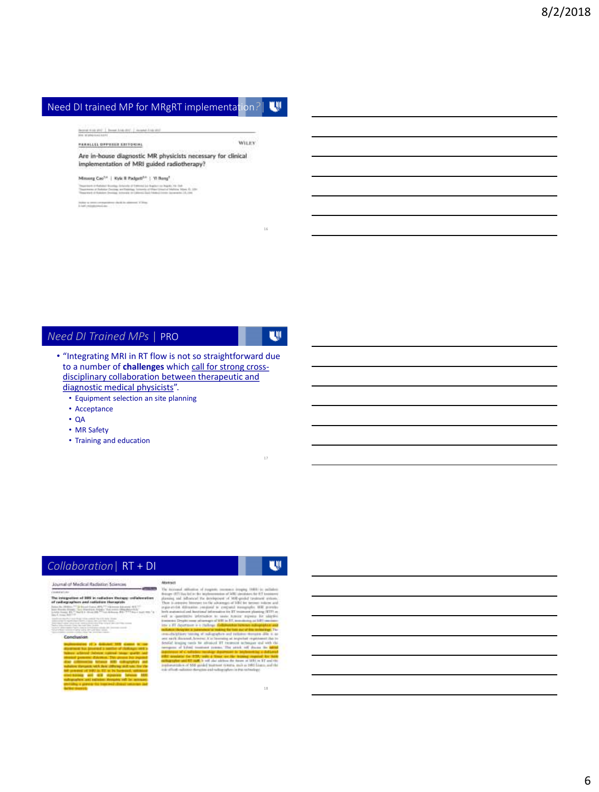#### Need DI trained MP for MRgRT implementation*?*| w

Suprain Kids and ... In case AAA-(b) ... In case AAA and

PARALLEL SPECIFIE ESTEVAN

Are in-house diagnostic MR physicists necessary for clinical implementation of MRI guided radiotherapy?

Missong Cas<sup>14</sup> | Kyle Il Padgett<sup>14</sup> | Vi Bong<sup>1</sup>

 $\label{eq:decomp} \begin{minipage}{0.9\textwidth} \begin{minipage}{0.9\textwidth} \begin{itemize} \textbf{1} & \textbf{1} & \textbf{1} & \textbf{1} & \textbf{1} & \textbf{1} & \textbf{1} & \textbf{1} & \textbf{1} & \textbf{1} & \textbf{1} & \textbf{1} & \textbf{1} & \textbf{1} & \textbf{1} & \textbf{1} & \textbf{1} & \textbf{1} & \textbf{1} & \textbf{1} & \textbf{1} & \textbf{1} & \textbf{1} & \textbf{1} & \textbf{1} & \textbf$ 

 $\frac{1}{2}$  and  $\frac{1}{2}$  is a structure of the polynomial form of the additional  $\mathcal{X}$  (Figs. ). Let  $\mathcal{Y}$  is a polynomial form

#### *Need DI Trained MPs* | PRO

W.

16

WILEY

- "Integrating MRI in RT flow is not so straightforward due to a number of **challenges** which call for strong crossdisciplinary collaboration between therapeutic and diagnostic medical physicists".
	- Equipment selection an site planning
	- Acceptance
	- QA
	- MR Safety
	- Training and education

# *Collaboration*| RT + DI

#### **Journal of Medical Radiation Sciences**

The integration of BIR in national there<br>of radiagraphers and nationize therapist istori <u>ng ma</u> the Morris 41

#### $\overline{a}$

# w

18

17

i si al In